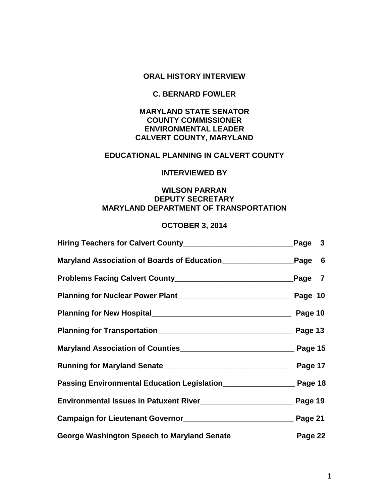## **ORAL HISTORY INTERVIEW**

# **C. BERNARD FOWLER**

# **MARYLAND STATE SENATOR COUNTY COMMISSIONER ENVIRONMENTAL LEADER CALVERT COUNTY, MARYLAND**

# **EDUCATIONAL PLANNING IN CALVERT COUNTY**

## **INTERVIEWED BY**

# **WILSON PARRAN DEPUTY SECRETARY MARYLAND DEPARTMENT OF TRANSPORTATION**

## **OCTOBER 3, 2014**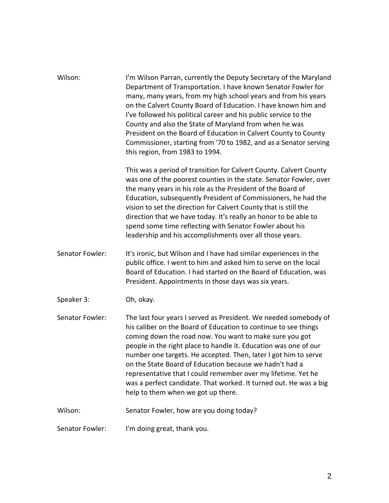| Wilson:         | I'm Wilson Parran, currently the Deputy Secretary of the Maryland<br>Department of Transportation. I have known Senator Fowler for<br>many, many years, from my high school years and from his years<br>on the Calvert County Board of Education. I have known him and<br>I've followed his political career and his public service to the<br>County and also the State of Maryland from when he was<br>President on the Board of Education in Calvert County to County<br>Commissioner, starting from '70 to 1982, and as a Senator serving<br>this region, from 1983 to 1994. |
|-----------------|---------------------------------------------------------------------------------------------------------------------------------------------------------------------------------------------------------------------------------------------------------------------------------------------------------------------------------------------------------------------------------------------------------------------------------------------------------------------------------------------------------------------------------------------------------------------------------|
|                 | This was a period of transition for Calvert County. Calvert County<br>was one of the poorest counties in the state. Senator Fowler, over<br>the many years in his role as the President of the Board of<br>Education, subsequently President of Commissioners, he had the<br>vision to set the direction for Calvert County that is still the<br>direction that we have today. It's really an honor to be able to<br>spend some time reflecting with Senator Fowler about his<br>leadership and his accomplishments over all those years.                                       |
| Senator Fowler: | It's ironic, but Wilson and I have had similar experiences in the<br>public office. I went to him and asked him to serve on the local<br>Board of Education. I had started on the Board of Education, was<br>President. Appointments in those days was six years.                                                                                                                                                                                                                                                                                                               |
| Speaker 3:      | Oh, okay.                                                                                                                                                                                                                                                                                                                                                                                                                                                                                                                                                                       |
| Senator Fowler: | The last four years I served as President. We needed somebody of<br>his caliber on the Board of Education to continue to see things<br>coming down the road now. You want to make sure you got<br>people in the right place to handle it. Education was one of our<br>number one targets. He accepted. Then, later I got him to serve<br>on the State Board of Education because we hadn't had a<br>representative that I could remember over my lifetime. Yet he<br>was a perfect candidate. That worked. It turned out. He was a big<br>help to them when we got up there.    |
| Wilson:         | Senator Fowler, how are you doing today?                                                                                                                                                                                                                                                                                                                                                                                                                                                                                                                                        |
| Senator Fowler: | I'm doing great, thank you.                                                                                                                                                                                                                                                                                                                                                                                                                                                                                                                                                     |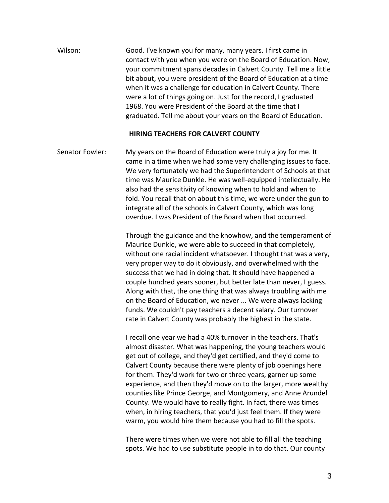Wilson: Good. I've known you for many, many years. I first came in contact with you when you were on the Board of Education. Now, your commitment spans decades in Calvert County. Tell me a little bit about, you were president of the Board of Education at a time when it was a challenge for education in Calvert County. There were a lot of things going on. Just for the record, I graduated 1968. You were President of the Board at the time that I graduated. Tell me about your years on the Board of Education.

### **HIRING TEACHERS FOR CALVERT COUNTY**

Senator Fowler: My years on the Board of Education were truly a joy for me. It came in a time when we had some very challenging issues to face. We very fortunately we had the Superintendent of Schools at that time was Maurice Dunkle. He was well-equipped intellectually. He also had the sensitivity of knowing when to hold and when to fold. You recall that on about this time, we were under the gun to integrate all of the schools in Calvert County, which was long overdue. I was President of the Board when that occurred.

> Through the guidance and the knowhow, and the temperament of Maurice Dunkle, we were able to succeed in that completely, without one racial incident whatsoever. I thought that was a very, very proper way to do it obviously, and overwhelmed with the success that we had in doing that. It should have happened a couple hundred years sooner, but better late than never, I guess. Along with that, the one thing that was always troubling with me on the Board of Education, we never ... We were always lacking funds. We couldn't pay teachers a decent salary. Our turnover rate in Calvert County was probably the highest in the state.

I recall one year we had a 40% turnover in the teachers. That's almost disaster. What was happening, the young teachers would get out of college, and they'd get certified, and they'd come to Calvert County because there were plenty of job openings here for them. They'd work for two or three years, garner up some experience, and then they'd move on to the larger, more wealthy counties like Prince George, and Montgomery, and Anne Arundel County. We would have to really fight. In fact, there was times when, in hiring teachers, that you'd just feel them. If they were warm, you would hire them because you had to fill the spots.

There were times when we were not able to fill all the teaching spots. We had to use substitute people in to do that. Our county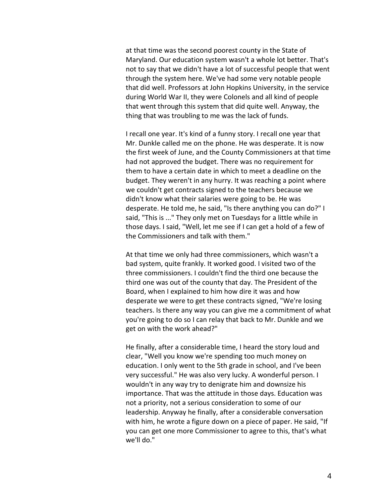at that time was the second poorest county in the State of Maryland. Our education system wasn't a whole lot better. That's not to say that we didn't have a lot of successful people that went through the system here. We've had some very notable people that did well. Professors at John Hopkins University, in the service during World War II, they were Colonels and all kind of people that went through this system that did quite well. Anyway, the thing that was troubling to me was the lack of funds.

I recall one year. It's kind of a funny story. I recall one year that Mr. Dunkle called me on the phone. He was desperate. It is now the first week of June, and the County Commissioners at that time had not approved the budget. There was no requirement for them to have a certain date in which to meet a deadline on the budget. They weren't in any hurry. It was reaching a point where we couldn't get contracts signed to the teachers because we didn't know what their salaries were going to be. He was desperate. He told me, he said, "Is there anything you can do?" I said, "This is ..." They only met on Tuesdays for a little while in those days. I said, "Well, let me see if I can get a hold of a few of the Commissioners and talk with them."

At that time we only had three commissioners, which wasn't a bad system, quite frankly. It worked good. I visited two of the three commissioners. I couldn't find the third one because the third one was out of the county that day. The President of the Board, when I explained to him how dire it was and how desperate we were to get these contracts signed, "We're losing teachers. Is there any way you can give me a commitment of what you're going to do so I can relay that back to Mr. Dunkle and we get on with the work ahead?"

He finally, after a considerable time, I heard the story loud and clear, "Well you know we're spending too much money on education. I only went to the 5th grade in school, and I've been very successful." He was also very lucky. A wonderful person. I wouldn't in any way try to denigrate him and downsize his importance. That was the attitude in those days. Education was not a priority, not a serious consideration to some of our leadership. Anyway he finally, after a considerable conversation with him, he wrote a figure down on a piece of paper. He said, "If you can get one more Commissioner to agree to this, that's what we'll do."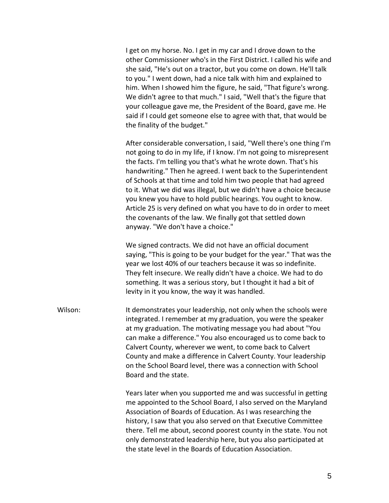I get on my horse. No. I get in my car and I drove down to the other Commissioner who's in the First District. I called his wife and she said, "He's out on a tractor, but you come on down. He'll talk to you." I went down, had a nice talk with him and explained to him. When I showed him the figure, he said, "That figure's wrong. We didn't agree to that much." I said, "Well that's the figure that your colleague gave me, the President of the Board, gave me. He said if I could get someone else to agree with that, that would be the finality of the budget."

After considerable conversation, I said, "Well there's one thing I'm not going to do in my life, if I know. I'm not going to misrepresent the facts. I'm telling you that's what he wrote down. That's his handwriting." Then he agreed. I went back to the Superintendent of Schools at that time and told him two people that had agreed to it. What we did was illegal, but we didn't have a choice because you knew you have to hold public hearings. You ought to know. Article 25 is very defined on what you have to do in order to meet the covenants of the law. We finally got that settled down anyway. "We don't have a choice."

We signed contracts. We did not have an official document saying, "This is going to be your budget for the year." That was the year we lost 40% of our teachers because it was so indefinite. They felt insecure. We really didn't have a choice. We had to do something. It was a serious story, but I thought it had a bit of levity in it you know, the way it was handled.

Wilson: It demonstrates your leadership, not only when the schools were integrated. I remember at my graduation, you were the speaker at my graduation. The motivating message you had about "You can make a difference." You also encouraged us to come back to Calvert County, wherever we went, to come back to Calvert County and make a difference in Calvert County. Your leadership on the School Board level, there was a connection with School Board and the state.

> Years later when you supported me and was successful in getting me appointed to the School Board, I also served on the Maryland Association of Boards of Education. As I was researching the history, I saw that you also served on that Executive Committee there. Tell me about, second poorest county in the state. You not only demonstrated leadership here, but you also participated at the state level in the Boards of Education Association.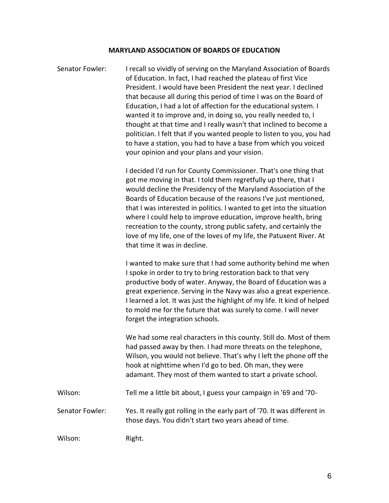## **MARYLAND ASSOCIATION OF BOARDS OF EDUCATION**

Senator Fowler: I recall so vividly of serving on the Maryland Association of Boards of Education. In fact, I had reached the plateau of first Vice President. I would have been President the next year. I declined that because all during this period of time I was on the Board of Education, I had a lot of affection for the educational system. I wanted it to improve and, in doing so, you really needed to, I thought at that time and I really wasn't that inclined to become a politician. I felt that if you wanted people to listen to you, you had to have a station, you had to have a base from which you voiced your opinion and your plans and your vision.

> I decided I'd run for County Commissioner. That's one thing that got me moving in that. I told them regretfully up there, that I would decline the Presidency of the Maryland Association of the Boards of Education because of the reasons I've just mentioned, that I was interested in politics. I wanted to get into the situation where I could help to improve education, improve health, bring recreation to the county, strong public safety, and certainly the love of my life, one of the loves of my life, the Patuxent River. At that time it was in decline.

I wanted to make sure that I had some authority behind me when I spoke in order to try to bring restoration back to that very productive body of water. Anyway, the Board of Education was a great experience. Serving in the Navy was also a great experience. I learned a lot. It was just the highlight of my life. It kind of helped to mold me for the future that was surely to come. I will never forget the integration schools.

We had some real characters in this county. Still do. Most of them had passed away by then. I had more threats on the telephone, Wilson, you would not believe. That's why I left the phone off the hook at nighttime when I'd go to bed. Oh man, they were adamant. They most of them wanted to start a private school.

Wilson: Tell me a little bit about, I guess your campaign in '69 and '70- Senator Fowler: Yes. It really got rolling in the early part of '70. It was different in those days. You didn't start two years ahead of time.

Wilson: Right.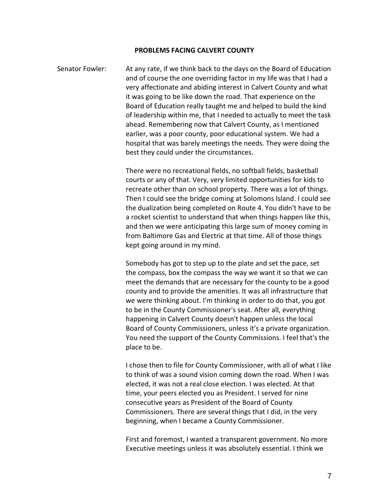#### **PROBLEMS FACING CALVERT COUNTY**

Senator Fowler: At any rate, if we think back to the days on the Board of Education and of course the one overriding factor in my life was that I had a very affectionate and abiding interest in Calvert County and what it was going to be like down the road. That experience on the Board of Education really taught me and helped to build the kind of leadership within me, that I needed to actually to meet the task ahead. Remembering now that Calvert County, as I mentioned earlier, was a poor county, poor educational system. We had a hospital that was barely meetings the needs. They were doing the best they could under the circumstances.

> There were no recreational fields, no softball fields, basketball courts or any of that. Very, very limited opportunities for kids to recreate other than on school property. There was a lot of things. Then I could see the bridge coming at Solomons Island. I could see the dualization being completed on Route 4. You didn't have to be a rocket scientist to understand that when things happen like this, and then we were anticipating this large sum of money coming in from Baltimore Gas and Electric at that time. All of those things kept going around in my mind.

> Somebody has got to step up to the plate and set the pace, set the compass, box the compass the way we want it so that we can meet the demands that are necessary for the county to be a good county and to provide the amenities. It was all infrastructure that we were thinking about. I'm thinking in order to do that, you got to be in the County Commissioner's seat. After all, everything happening in Calvert County doesn't happen unless the local Board of County Commissioners, unless it's a private organization. You need the support of the County Commissions. I feel that's the place to be.

> I chose then to file for County Commissioner, with all of what I like to think of was a sound vision coming down the road. When I was elected, it was not a real close election. I was elected. At that time, your peers elected you as President. I served for nine consecutive years as President of the Board of County Commissioners. There are several things that I did, in the very beginning, when I became a County Commissioner.

First and foremost, I wanted a transparent government. No more Executive meetings unless it was absolutely essential. I think we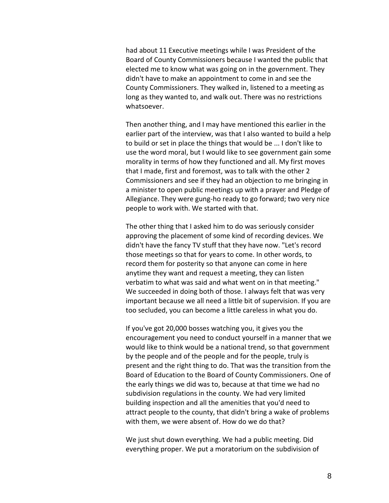had about 11 Executive meetings while I was President of the Board of County Commissioners because I wanted the public that elected me to know what was going on in the government. They didn't have to make an appointment to come in and see the County Commissioners. They walked in, listened to a meeting as long as they wanted to, and walk out. There was no restrictions whatsoever.

Then another thing, and I may have mentioned this earlier in the earlier part of the interview, was that I also wanted to build a help to build or set in place the things that would be ... I don't like to use the word moral, but I would like to see government gain some morality in terms of how they functioned and all. My first moves that I made, first and foremost, was to talk with the other 2 Commissioners and see if they had an objection to me bringing in a minister to open public meetings up with a prayer and Pledge of Allegiance. They were gung-ho ready to go forward; two very nice people to work with. We started with that.

The other thing that I asked him to do was seriously consider approving the placement of some kind of recording devices. We didn't have the fancy TV stuff that they have now. "Let's record those meetings so that for years to come. In other words, to record them for posterity so that anyone can come in here anytime they want and request a meeting, they can listen verbatim to what was said and what went on in that meeting." We succeeded in doing both of those. I always felt that was very important because we all need a little bit of supervision. If you are too secluded, you can become a little careless in what you do.

If you've got 20,000 bosses watching you, it gives you the encouragement you need to conduct yourself in a manner that we would like to think would be a national trend, so that government by the people and of the people and for the people, truly is present and the right thing to do. That was the transition from the Board of Education to the Board of County Commissioners. One of the early things we did was to, because at that time we had no subdivision regulations in the county. We had very limited building inspection and all the amenities that you'd need to attract people to the county, that didn't bring a wake of problems with them, we were absent of. How do we do that?

We just shut down everything. We had a public meeting. Did everything proper. We put a moratorium on the subdivision of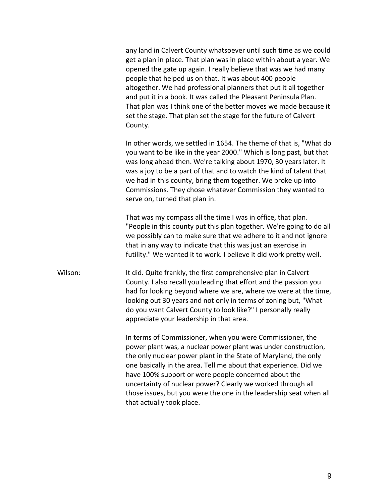any land in Calvert County whatsoever until such time as we could get a plan in place. That plan was in place within about a year. We opened the gate up again. I really believe that was we had many people that helped us on that. It was about 400 people altogether. We had professional planners that put it all together and put it in a book. It was called the Pleasant Peninsula Plan. That plan was I think one of the better moves we made because it set the stage. That plan set the stage for the future of Calvert County.

In other words, we settled in 1654. The theme of that is, "What do you want to be like in the year 2000." Which is long past, but that was long ahead then. We're talking about 1970, 30 years later. It was a joy to be a part of that and to watch the kind of talent that we had in this county, bring them together. We broke up into Commissions. They chose whatever Commission they wanted to serve on, turned that plan in.

That was my compass all the time I was in office, that plan. "People in this county put this plan together. We're going to do all we possibly can to make sure that we adhere to it and not ignore that in any way to indicate that this was just an exercise in futility." We wanted it to work. I believe it did work pretty well.

Wilson: It did. Quite frankly, the first comprehensive plan in Calvert County. I also recall you leading that effort and the passion you had for looking beyond where we are, where we were at the time, looking out 30 years and not only in terms of zoning but, "What do you want Calvert County to look like?" I personally really appreciate your leadership in that area.

> In terms of Commissioner, when you were Commissioner, the power plant was, a nuclear power plant was under construction, the only nuclear power plant in the State of Maryland, the only one basically in the area. Tell me about that experience. Did we have 100% support or were people concerned about the uncertainty of nuclear power? Clearly we worked through all those issues, but you were the one in the leadership seat when all that actually took place.

> > 9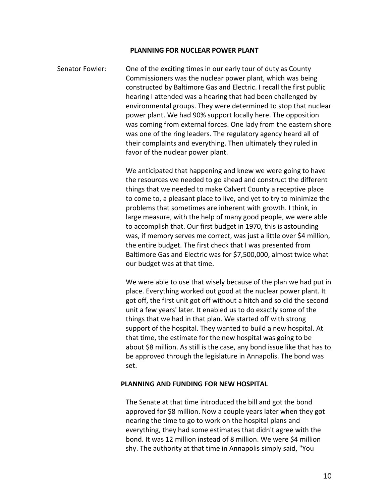#### **PLANNING FOR NUCLEAR POWER PLANT**

Senator Fowler: One of the exciting times in our early tour of duty as County Commissioners was the nuclear power plant, which was being constructed by Baltimore Gas and Electric. I recall the first public hearing I attended was a hearing that had been challenged by environmental groups. They were determined to stop that nuclear power plant. We had 90% support locally here. The opposition was coming from external forces. One lady from the eastern shore was one of the ring leaders. The regulatory agency heard all of their complaints and everything. Then ultimately they ruled in favor of the nuclear power plant.

> We anticipated that happening and knew we were going to have the resources we needed to go ahead and construct the different things that we needed to make Calvert County a receptive place to come to, a pleasant place to live, and yet to try to minimize the problems that sometimes are inherent with growth. I think, in large measure, with the help of many good people, we were able to accomplish that. Our first budget in 1970, this is astounding was, if memory serves me correct, was just a little over \$4 million, the entire budget. The first check that I was presented from Baltimore Gas and Electric was for \$7,500,000, almost twice what our budget was at that time.

> We were able to use that wisely because of the plan we had put in place. Everything worked out good at the nuclear power plant. It got off, the first unit got off without a hitch and so did the second unit a few years' later. It enabled us to do exactly some of the things that we had in that plan. We started off with strong support of the hospital. They wanted to build a new hospital. At that time, the estimate for the new hospital was going to be about \$8 million. As still is the case, any bond issue like that has to be approved through the legislature in Annapolis. The bond was set.

## **PLANNING AND FUNDING FOR NEW HOSPITAL**

The Senate at that time introduced the bill and got the bond approved for \$8 million. Now a couple years later when they got nearing the time to go to work on the hospital plans and everything, they had some estimates that didn't agree with the bond. It was 12 million instead of 8 million. We were \$4 million shy. The authority at that time in Annapolis simply said, "You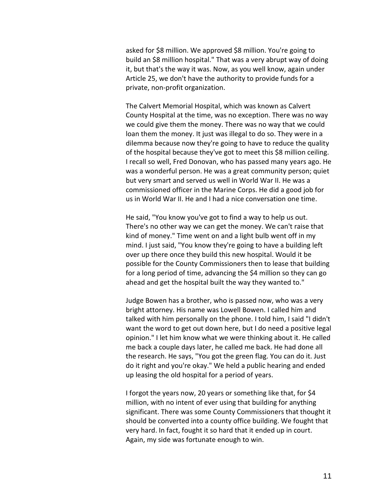asked for \$8 million. We approved \$8 million. You're going to build an \$8 million hospital." That was a very abrupt way of doing it, but that's the way it was. Now, as you well know, again under Article 25, we don't have the authority to provide funds for a private, non-profit organization.

The Calvert Memorial Hospital, which was known as Calvert County Hospital at the time, was no exception. There was no way we could give them the money. There was no way that we could loan them the money. It just was illegal to do so. They were in a dilemma because now they're going to have to reduce the quality of the hospital because they've got to meet this \$8 million ceiling. I recall so well, Fred Donovan, who has passed many years ago. He was a wonderful person. He was a great community person; quiet but very smart and served us well in World War II. He was a commissioned officer in the Marine Corps. He did a good job for us in World War II. He and I had a nice conversation one time.

He said, "You know you've got to find a way to help us out. There's no other way we can get the money. We can't raise that kind of money." Time went on and a light bulb went off in my mind. I just said, "You know they're going to have a building left over up there once they build this new hospital. Would it be possible for the County Commissioners then to lease that building for a long period of time, advancing the \$4 million so they can go ahead and get the hospital built the way they wanted to."

Judge Bowen has a brother, who is passed now, who was a very bright attorney. His name was Lowell Bowen. I called him and talked with him personally on the phone. I told him, I said "I didn't want the word to get out down here, but I do need a positive legal opinion." I let him know what we were thinking about it. He called me back a couple days later, he called me back. He had done all the research. He says, "You got the green flag. You can do it. Just do it right and you're okay." We held a public hearing and ended up leasing the old hospital for a period of years.

I forgot the years now, 20 years or something like that, for \$4 million, with no intent of ever using that building for anything significant. There was some County Commissioners that thought it should be converted into a county office building. We fought that very hard. In fact, fought it so hard that it ended up in court. Again, my side was fortunate enough to win.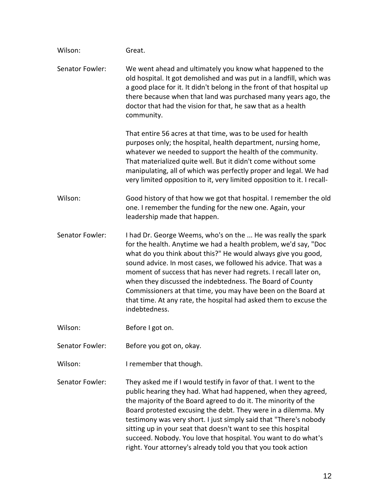| Wilson:         | Great.                                                                                                                                                                                                                                                                                                                                                                                                                                                                                                                                                       |
|-----------------|--------------------------------------------------------------------------------------------------------------------------------------------------------------------------------------------------------------------------------------------------------------------------------------------------------------------------------------------------------------------------------------------------------------------------------------------------------------------------------------------------------------------------------------------------------------|
| Senator Fowler: | We went ahead and ultimately you know what happened to the<br>old hospital. It got demolished and was put in a landfill, which was<br>a good place for it. It didn't belong in the front of that hospital up<br>there because when that land was purchased many years ago, the<br>doctor that had the vision for that, he saw that as a health<br>community.                                                                                                                                                                                                 |
|                 | That entire 56 acres at that time, was to be used for health<br>purposes only; the hospital, health department, nursing home,<br>whatever we needed to support the health of the community.<br>That materialized quite well. But it didn't come without some<br>manipulating, all of which was perfectly proper and legal. We had<br>very limited opposition to it, very limited opposition to it. I recall-                                                                                                                                                 |
| Wilson:         | Good history of that how we got that hospital. I remember the old<br>one. I remember the funding for the new one. Again, your<br>leadership made that happen.                                                                                                                                                                                                                                                                                                                                                                                                |
| Senator Fowler: | I had Dr. George Weems, who's on the  He was really the spark<br>for the health. Anytime we had a health problem, we'd say, "Doc<br>what do you think about this?" He would always give you good,<br>sound advice. In most cases, we followed his advice. That was a<br>moment of success that has never had regrets. I recall later on,<br>when they discussed the indebtedness. The Board of County<br>Commissioners at that time, you may have been on the Board at<br>that time. At any rate, the hospital had asked them to excuse the<br>indebtedness. |
| Wilson:         | Before I got on.                                                                                                                                                                                                                                                                                                                                                                                                                                                                                                                                             |
| Senator Fowler: | Before you got on, okay.                                                                                                                                                                                                                                                                                                                                                                                                                                                                                                                                     |
| Wilson:         | I remember that though.                                                                                                                                                                                                                                                                                                                                                                                                                                                                                                                                      |
| Senator Fowler: | They asked me if I would testify in favor of that. I went to the<br>public hearing they had. What had happened, when they agreed,<br>the majority of the Board agreed to do it. The minority of the<br>Board protested excusing the debt. They were in a dilemma. My<br>testimony was very short. I just simply said that "There's nobody<br>sitting up in your seat that doesn't want to see this hospital                                                                                                                                                  |

succeed. Nobody. You love that hospital. You want to do what's right. Your attorney's already told you that you took action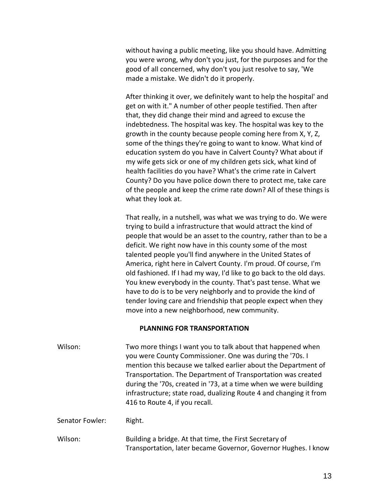without having a public meeting, like you should have. Admitting you were wrong, why don't you just, for the purposes and for the good of all concerned, why don't you just resolve to say, 'We made a mistake. We didn't do it properly.

After thinking it over, we definitely want to help the hospital' and get on with it." A number of other people testified. Then after that, they did change their mind and agreed to excuse the indebtedness. The hospital was key. The hospital was key to the growth in the county because people coming here from X, Y, Z, some of the things they're going to want to know. What kind of education system do you have in Calvert County? What about if my wife gets sick or one of my children gets sick, what kind of health facilities do you have? What's the crime rate in Calvert County? Do you have police down there to protect me, take care of the people and keep the crime rate down? All of these things is what they look at.

That really, in a nutshell, was what we was trying to do. We were trying to build a infrastructure that would attract the kind of people that would be an asset to the country, rather than to be a deficit. We right now have in this county some of the most talented people you'll find anywhere in the United States of America, right here in Calvert County. I'm proud. Of course, I'm old fashioned. If I had my way, I'd like to go back to the old days. You knew everybody in the county. That's past tense. What we have to do is to be very neighborly and to provide the kind of tender loving care and friendship that people expect when they move into a new neighborhood, new community.

### **PLANNING FOR TRANSPORTATION**

Wilson: Two more things I want you to talk about that happened when you were County Commissioner. One was during the '70s. I mention this because we talked earlier about the Department of Transportation. The Department of Transportation was created during the '70s, created in '73, at a time when we were building infrastructure; state road, dualizing Route 4 and changing it from 416 to Route 4, if you recall.

Senator Fowler: Right.

Wilson: Building a bridge. At that time, the First Secretary of Transportation, later became Governor, Governor Hughes. I know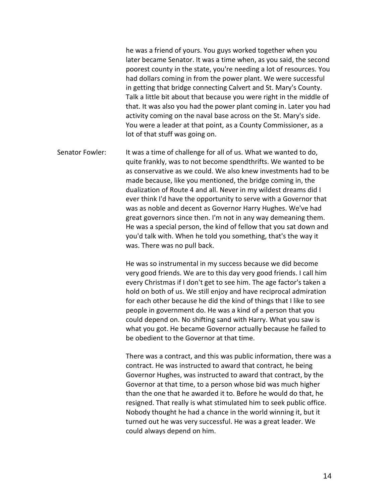he was a friend of yours. You guys worked together when you later became Senator. It was a time when, as you said, the second poorest county in the state, you're needing a lot of resources. You had dollars coming in from the power plant. We were successful in getting that bridge connecting Calvert and St. Mary's County. Talk a little bit about that because you were right in the middle of that. It was also you had the power plant coming in. Later you had activity coming on the naval base across on the St. Mary's side. You were a leader at that point, as a County Commissioner, as a lot of that stuff was going on.

Senator Fowler: It was a time of challenge for all of us. What we wanted to do, quite frankly, was to not become spendthrifts. We wanted to be as conservative as we could. We also knew investments had to be made because, like you mentioned, the bridge coming in, the dualization of Route 4 and all. Never in my wildest dreams did I ever think I'd have the opportunity to serve with a Governor that was as noble and decent as Governor Harry Hughes. We've had great governors since then. I'm not in any way demeaning them. He was a special person, the kind of fellow that you sat down and you'd talk with. When he told you something, that's the way it was. There was no pull back.

> He was so instrumental in my success because we did become very good friends. We are to this day very good friends. I call him every Christmas if I don't get to see him. The age factor's taken a hold on both of us. We still enjoy and have reciprocal admiration for each other because he did the kind of things that I like to see people in government do. He was a kind of a person that you could depend on. No shifting sand with Harry. What you saw is what you got. He became Governor actually because he failed to be obedient to the Governor at that time.

There was a contract, and this was public information, there was a contract. He was instructed to award that contract, he being Governor Hughes, was instructed to award that contract, by the Governor at that time, to a person whose bid was much higher than the one that he awarded it to. Before he would do that, he resigned. That really is what stimulated him to seek public office. Nobody thought he had a chance in the world winning it, but it turned out he was very successful. He was a great leader. We could always depend on him.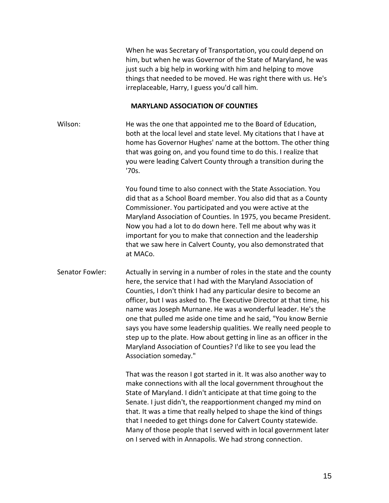When he was Secretary of Transportation, you could depend on him, but when he was Governor of the State of Maryland, he was just such a big help in working with him and helping to move things that needed to be moved. He was right there with us. He's irreplaceable, Harry, I guess you'd call him.

### **MARYLAND ASSOCIATION OF COUNTIES**

Wilson: He was the one that appointed me to the Board of Education, both at the local level and state level. My citations that I have at home has Governor Hughes' name at the bottom. The other thing that was going on, and you found time to do this. I realize that you were leading Calvert County through a transition during the '70s.

> You found time to also connect with the State Association. You did that as a School Board member. You also did that as a County Commissioner. You participated and you were active at the Maryland Association of Counties. In 1975, you became President. Now you had a lot to do down here. Tell me about why was it important for you to make that connection and the leadership that we saw here in Calvert County, you also demonstrated that at MACo.

Senator Fowler: Actually in serving in a number of roles in the state and the county here, the service that I had with the Maryland Association of Counties, I don't think I had any particular desire to become an officer, but I was asked to. The Executive Director at that time, his name was Joseph Murnane. He was a wonderful leader. He's the one that pulled me aside one time and he said, "You know Bernie says you have some leadership qualities. We really need people to step up to the plate. How about getting in line as an officer in the Maryland Association of Counties? I'd like to see you lead the Association someday."

> That was the reason I got started in it. It was also another way to make connections with all the local government throughout the State of Maryland. I didn't anticipate at that time going to the Senate. I just didn't, the reapportionment changed my mind on that. It was a time that really helped to shape the kind of things that I needed to get things done for Calvert County statewide. Many of those people that I served with in local government later on I served with in Annapolis. We had strong connection.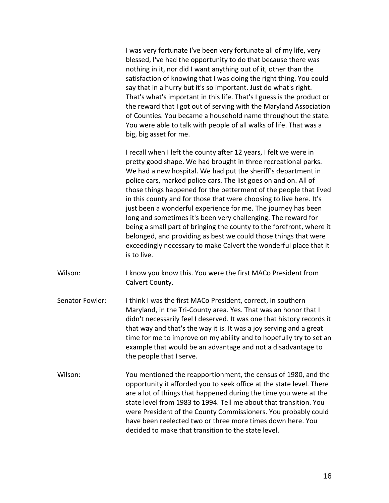I was very fortunate I've been very fortunate all of my life, very blessed, I've had the opportunity to do that because there was nothing in it, nor did I want anything out of it, other than the satisfaction of knowing that I was doing the right thing. You could say that in a hurry but it's so important. Just do what's right. That's what's important in this life. That's I guess is the product or the reward that I got out of serving with the Maryland Association of Counties. You became a household name throughout the state. You were able to talk with people of all walks of life. That was a big, big asset for me.

I recall when I left the county after 12 years, I felt we were in pretty good shape. We had brought in three recreational parks. We had a new hospital. We had put the sheriff's department in police cars, marked police cars. The list goes on and on. All of those things happened for the betterment of the people that lived in this county and for those that were choosing to live here. It's just been a wonderful experience for me. The journey has been long and sometimes it's been very challenging. The reward for being a small part of bringing the county to the forefront, where it belonged, and providing as best we could those things that were exceedingly necessary to make Calvert the wonderful place that it is to live.

- Wilson: I know you know this. You were the first MACo President from Calvert County.
- Senator Fowler: I think I was the first MACo President, correct, in southern Maryland, in the Tri-County area. Yes. That was an honor that I didn't necessarily feel I deserved. It was one that history records it that way and that's the way it is. It was a joy serving and a great time for me to improve on my ability and to hopefully try to set an example that would be an advantage and not a disadvantage to the people that I serve.
- Wilson: You mentioned the reapportionment, the census of 1980, and the opportunity it afforded you to seek office at the state level. There are a lot of things that happened during the time you were at the state level from 1983 to 1994. Tell me about that transition. You were President of the County Commissioners. You probably could have been reelected two or three more times down here. You decided to make that transition to the state level.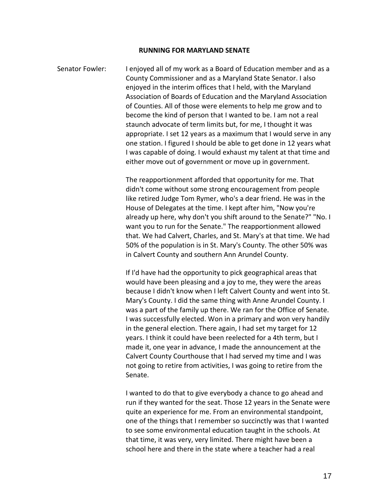#### **RUNNING FOR MARYLAND SENATE**

Senator Fowler: I enjoyed all of my work as a Board of Education member and as a County Commissioner and as a Maryland State Senator. I also enjoyed in the interim offices that I held, with the Maryland Association of Boards of Education and the Maryland Association of Counties. All of those were elements to help me grow and to become the kind of person that I wanted to be. I am not a real staunch advocate of term limits but, for me, I thought it was appropriate. I set 12 years as a maximum that I would serve in any one station. I figured I should be able to get done in 12 years what I was capable of doing. I would exhaust my talent at that time and either move out of government or move up in government.

> The reapportionment afforded that opportunity for me. That didn't come without some strong encouragement from people like retired Judge Tom Rymer, who's a dear friend. He was in the House of Delegates at the time. I kept after him, "Now you're already up here, why don't you shift around to the Senate?" "No. I want you to run for the Senate." The reapportionment allowed that. We had Calvert, Charles, and St. Mary's at that time. We had 50% of the population is in St. Mary's County. The other 50% was in Calvert County and southern Ann Arundel County.

> If I'd have had the opportunity to pick geographical areas that would have been pleasing and a joy to me, they were the areas because I didn't know when I left Calvert County and went into St. Mary's County. I did the same thing with Anne Arundel County. I was a part of the family up there. We ran for the Office of Senate. I was successfully elected. Won in a primary and won very handily in the general election. There again, I had set my target for 12 years. I think it could have been reelected for a 4th term, but I made it, one year in advance, I made the announcement at the Calvert County Courthouse that I had served my time and I was not going to retire from activities, I was going to retire from the Senate.

> I wanted to do that to give everybody a chance to go ahead and run if they wanted for the seat. Those 12 years in the Senate were quite an experience for me. From an environmental standpoint, one of the things that I remember so succinctly was that I wanted to see some environmental education taught in the schools. At that time, it was very, very limited. There might have been a school here and there in the state where a teacher had a real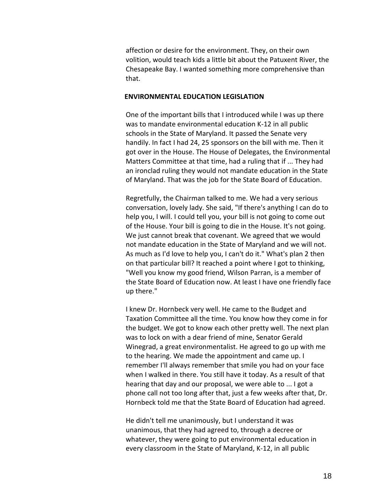affection or desire for the environment. They, on their own volition, would teach kids a little bit about the Patuxent River, the Chesapeake Bay. I wanted something more comprehensive than that.

#### **ENVIRONMENTAL EDUCATION LEGISLATION**

One of the important bills that I introduced while I was up there was to mandate environmental education K-12 in all public schools in the State of Maryland. It passed the Senate very handily. In fact I had 24, 25 sponsors on the bill with me. Then it got over in the House. The House of Delegates, the Environmental Matters Committee at that time, had a ruling that if ... They had an ironclad ruling they would not mandate education in the State of Maryland. That was the job for the State Board of Education.

Regretfully, the Chairman talked to me. We had a very serious conversation, lovely lady. She said, "If there's anything I can do to help you, I will. I could tell you, your bill is not going to come out of the House. Your bill is going to die in the House. It's not going. We just cannot break that covenant. We agreed that we would not mandate education in the State of Maryland and we will not. As much as I'd love to help you, I can't do it." What's plan 2 then on that particular bill? It reached a point where I got to thinking, "Well you know my good friend, Wilson Parran, is a member of the State Board of Education now. At least I have one friendly face up there."

I knew Dr. Hornbeck very well. He came to the Budget and Taxation Committee all the time. You know how they come in for the budget. We got to know each other pretty well. The next plan was to lock on with a dear friend of mine, Senator Gerald Winegrad, a great environmentalist. He agreed to go up with me to the hearing. We made the appointment and came up. I remember I'll always remember that smile you had on your face when I walked in there. You still have it today. As a result of that hearing that day and our proposal, we were able to ... I got a phone call not too long after that, just a few weeks after that, Dr. Hornbeck told me that the State Board of Education had agreed.

He didn't tell me unanimously, but I understand it was unanimous, that they had agreed to, through a decree or whatever, they were going to put environmental education in every classroom in the State of Maryland, K-12, in all public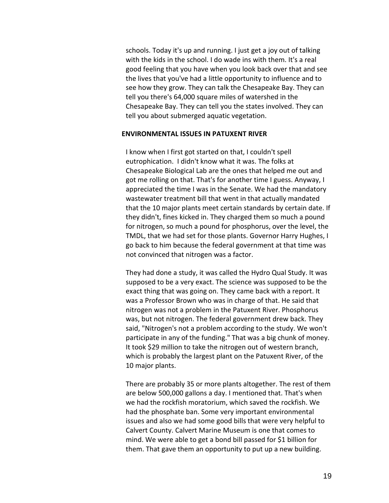schools. Today it's up and running. I just get a joy out of talking with the kids in the school. I do wade ins with them. It's a real good feeling that you have when you look back over that and see the lives that you've had a little opportunity to influence and to see how they grow. They can talk the Chesapeake Bay. They can tell you there's 64,000 square miles of watershed in the Chesapeake Bay. They can tell you the states involved. They can tell you about submerged aquatic vegetation.

### **ENVIRONMENTAL ISSUES IN PATUXENT RIVER**

I know when I first got started on that, I couldn't spell eutrophication. I didn't know what it was. The folks at Chesapeake Biological Lab are the ones that helped me out and got me rolling on that. That's for another time I guess. Anyway, I appreciated the time I was in the Senate. We had the mandatory wastewater treatment bill that went in that actually mandated that the 10 major plants meet certain standards by certain date. If they didn't, fines kicked in. They charged them so much a pound for nitrogen, so much a pound for phosphorus, over the level, the TMDL, that we had set for those plants. Governor Harry Hughes, I go back to him because the federal government at that time was not convinced that nitrogen was a factor.

They had done a study, it was called the Hydro Qual Study. It was supposed to be a very exact. The science was supposed to be the exact thing that was going on. They came back with a report. It was a Professor Brown who was in charge of that. He said that nitrogen was not a problem in the Patuxent River. Phosphorus was, but not nitrogen. The federal government drew back. They said, "Nitrogen's not a problem according to the study. We won't participate in any of the funding." That was a big chunk of money. It took \$29 million to take the nitrogen out of western branch, which is probably the largest plant on the Patuxent River, of the 10 major plants.

There are probably 35 or more plants altogether. The rest of them are below 500,000 gallons a day. I mentioned that. That's when we had the rockfish moratorium, which saved the rockfish. We had the phosphate ban. Some very important environmental issues and also we had some good bills that were very helpful to Calvert County. Calvert Marine Museum is one that comes to mind. We were able to get a bond bill passed for \$1 billion for them. That gave them an opportunity to put up a new building.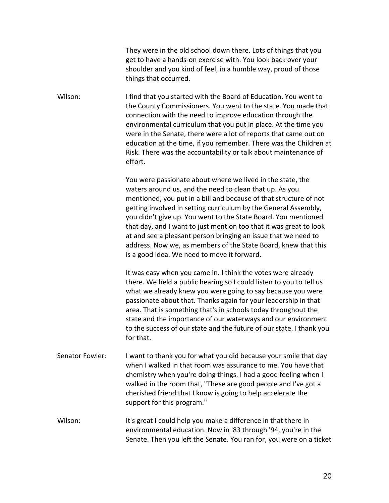They were in the old school down there. Lots of things that you get to have a hands-on exercise with. You look back over your shoulder and you kind of feel, in a humble way, proud of those things that occurred.

Wilson: I find that you started with the Board of Education. You went to the County Commissioners. You went to the state. You made that connection with the need to improve education through the environmental curriculum that you put in place. At the time you were in the Senate, there were a lot of reports that came out on education at the time, if you remember. There was the Children at Risk. There was the accountability or talk about maintenance of effort.

> You were passionate about where we lived in the state, the waters around us, and the need to clean that up. As you mentioned, you put in a bill and because of that structure of not getting involved in setting curriculum by the General Assembly, you didn't give up. You went to the State Board. You mentioned that day, and I want to just mention too that it was great to look at and see a pleasant person bringing an issue that we need to address. Now we, as members of the State Board, knew that this is a good idea. We need to move it forward.

It was easy when you came in. I think the votes were already there. We held a public hearing so I could listen to you to tell us what we already knew you were going to say because you were passionate about that. Thanks again for your leadership in that area. That is something that's in schools today throughout the state and the importance of our waterways and our environment to the success of our state and the future of our state. I thank you for that.

- Senator Fowler: I want to thank you for what you did because your smile that day when I walked in that room was assurance to me. You have that chemistry when you're doing things. I had a good feeling when I walked in the room that, "These are good people and I've got a cherished friend that I know is going to help accelerate the support for this program."
- Wilson: It's great I could help you make a difference in that there in environmental education. Now in '83 through '94, you're in the Senate. Then you left the Senate. You ran for, you were on a ticket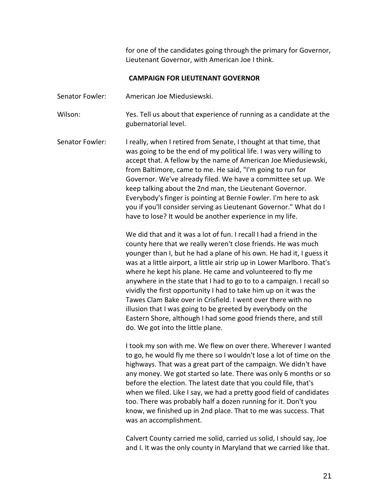for one of the candidates going through the primary for Governor, Lieutenant Governor, with American Joe I think.

## **CAMPAIGN FOR LIEUTENANT GOVERNOR**

Senator Fowler: American Joe Miedusiewski.

- Wilson: Yes. Tell us about that experience of running as a candidate at the gubernatorial level.
- Senator Fowler: I really, when I retired from Senate, I thought at that time, that was going to be the end of my political life. I was very willing to accept that. A fellow by the name of American Joe Miedusiewski, from Baltimore, came to me. He said, "I'm going to run for Governor. We've already filed. We have a committee set up. We keep talking about the 2nd man, the Lieutenant Governor. Everybody's finger is pointing at Bernie Fowler. I'm here to ask you if you'll consider serving as Lieutenant Governor." What do I have to lose? It would be another experience in my life.

We did that and it was a lot of fun. I recall I had a friend in the county here that we really weren't close friends. He was much younger than I, but he had a plane of his own. He had it, I guess it was at a little airport, a little air strip up in Lower Marlboro. That's where he kept his plane. He came and volunteered to fly me anywhere in the state that I had to go to to a campaign. I recall so vividly the first opportunity I had to take him up on it was the Tawes Clam Bake over in Crisfield. I went over there with no illusion that I was going to be greeted by everybody on the Eastern Shore, although I had some good friends there, and still do. We got into the little plane.

I took my son with me. We flew on over there. Wherever I wanted to go, he would fly me there so I wouldn't lose a lot of time on the highways. That was a great part of the campaign. We didn't have any money. We got started so late. There was only 6 months or so before the election. The latest date that you could file, that's when we filed. Like I say, we had a pretty good field of candidates too. There was probably half a dozen running for it. Don't you know, we finished up in 2nd place. That to me was success. That was an accomplishment.

Calvert County carried me solid, carried us solid, I should say, Joe and I. It was the only county in Maryland that we carried like that.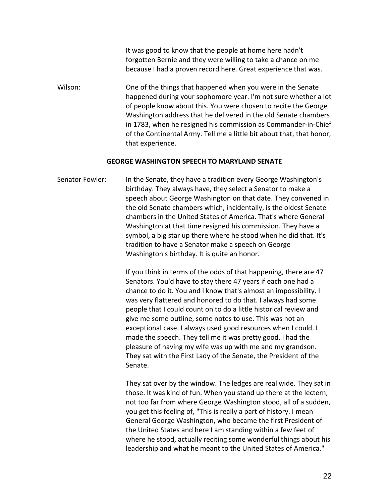It was good to know that the people at home here hadn't forgotten Bernie and they were willing to take a chance on me because I had a proven record here. Great experience that was.

Wilson: One of the things that happened when you were in the Senate happened during your sophomore year. I'm not sure whether a lot of people know about this. You were chosen to recite the George Washington address that he delivered in the old Senate chambers in 1783, when he resigned his commission as Commander-in-Chief of the Continental Army. Tell me a little bit about that, that honor, that experience.

### **GEORGE WASHINGTON SPEECH TO MARYLAND SENATE**

Senator Fowler: In the Senate, they have a tradition every George Washington's birthday. They always have, they select a Senator to make a speech about George Washington on that date. They convened in the old Senate chambers which, incidentally, is the oldest Senate chambers in the United States of America. That's where General Washington at that time resigned his commission. They have a symbol, a big star up there where he stood when he did that. It's tradition to have a Senator make a speech on George Washington's birthday. It is quite an honor.

> If you think in terms of the odds of that happening, there are 47 Senators. You'd have to stay there 47 years if each one had a chance to do it. You and I know that's almost an impossibility. I was very flattered and honored to do that. I always had some people that I could count on to do a little historical review and give me some outline, some notes to use. This was not an exceptional case. I always used good resources when I could. I made the speech. They tell me it was pretty good. I had the pleasure of having my wife was up with me and my grandson. They sat with the First Lady of the Senate, the President of the Senate.

They sat over by the window. The ledges are real wide. They sat in those. It was kind of fun. When you stand up there at the lectern, not too far from where George Washington stood, all of a sudden, you get this feeling of, "This is really a part of history. I mean General George Washington, who became the first President of the United States and here I am standing within a few feet of where he stood, actually reciting some wonderful things about his leadership and what he meant to the United States of America."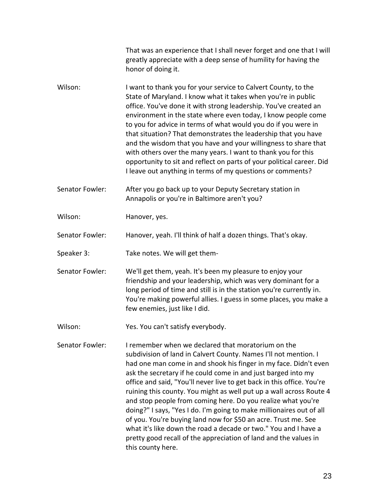|                 | That was an experience that I shall never forget and one that I will<br>greatly appreciate with a deep sense of humility for having the<br>honor of doing it.                                                                                                                                                                                                                                                                                                                                                                                                                                                                                                                                                                                                                      |
|-----------------|------------------------------------------------------------------------------------------------------------------------------------------------------------------------------------------------------------------------------------------------------------------------------------------------------------------------------------------------------------------------------------------------------------------------------------------------------------------------------------------------------------------------------------------------------------------------------------------------------------------------------------------------------------------------------------------------------------------------------------------------------------------------------------|
| Wilson:         | I want to thank you for your service to Calvert County, to the<br>State of Maryland. I know what it takes when you're in public<br>office. You've done it with strong leadership. You've created an<br>environment in the state where even today, I know people come<br>to you for advice in terms of what would you do if you were in<br>that situation? That demonstrates the leadership that you have<br>and the wisdom that you have and your willingness to share that<br>with others over the many years. I want to thank you for this<br>opportunity to sit and reflect on parts of your political career. Did<br>I leave out anything in terms of my questions or comments?                                                                                                |
| Senator Fowler: | After you go back up to your Deputy Secretary station in<br>Annapolis or you're in Baltimore aren't you?                                                                                                                                                                                                                                                                                                                                                                                                                                                                                                                                                                                                                                                                           |
| Wilson:         | Hanover, yes.                                                                                                                                                                                                                                                                                                                                                                                                                                                                                                                                                                                                                                                                                                                                                                      |
| Senator Fowler: | Hanover, yeah. I'll think of half a dozen things. That's okay.                                                                                                                                                                                                                                                                                                                                                                                                                                                                                                                                                                                                                                                                                                                     |
| Speaker 3:      | Take notes. We will get them-                                                                                                                                                                                                                                                                                                                                                                                                                                                                                                                                                                                                                                                                                                                                                      |
| Senator Fowler: | We'll get them, yeah. It's been my pleasure to enjoy your<br>friendship and your leadership, which was very dominant for a<br>long period of time and still is in the station you're currently in.<br>You're making powerful allies. I guess in some places, you make a<br>few enemies, just like I did.                                                                                                                                                                                                                                                                                                                                                                                                                                                                           |
| Wilson:         | Yes. You can't satisfy everybody.                                                                                                                                                                                                                                                                                                                                                                                                                                                                                                                                                                                                                                                                                                                                                  |
| Senator Fowler: | I remember when we declared that moratorium on the<br>subdivision of land in Calvert County. Names I'll not mention. I<br>had one man come in and shook his finger in my face. Didn't even<br>ask the secretary if he could come in and just barged into my<br>office and said, "You'll never live to get back in this office. You're<br>ruining this county. You might as well put up a wall across Route 4<br>and stop people from coming here. Do you realize what you're<br>doing?" I says, "Yes I do. I'm going to make millionaires out of all<br>of you. You're buying land now for \$50 an acre. Trust me. See<br>what it's like down the road a decade or two." You and I have a<br>pretty good recall of the appreciation of land and the values in<br>this county here. |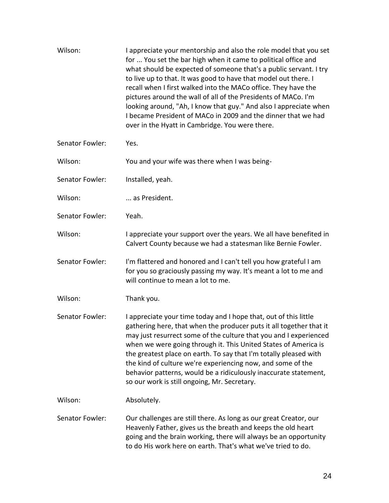| Wilson:         | I appreciate your mentorship and also the role model that you set<br>for  You set the bar high when it came to political office and<br>what should be expected of someone that's a public servant. I try<br>to live up to that. It was good to have that model out there. I<br>recall when I first walked into the MACo office. They have the<br>pictures around the wall of all of the Presidents of MACo. I'm<br>looking around, "Ah, I know that guy." And also I appreciate when<br>I became President of MACo in 2009 and the dinner that we had<br>over in the Hyatt in Cambridge. You were there. |
|-----------------|----------------------------------------------------------------------------------------------------------------------------------------------------------------------------------------------------------------------------------------------------------------------------------------------------------------------------------------------------------------------------------------------------------------------------------------------------------------------------------------------------------------------------------------------------------------------------------------------------------|
| Senator Fowler: | Yes.                                                                                                                                                                                                                                                                                                                                                                                                                                                                                                                                                                                                     |
| Wilson:         | You and your wife was there when I was being-                                                                                                                                                                                                                                                                                                                                                                                                                                                                                                                                                            |
| Senator Fowler: | Installed, yeah.                                                                                                                                                                                                                                                                                                                                                                                                                                                                                                                                                                                         |
| Wilson:         | as President.                                                                                                                                                                                                                                                                                                                                                                                                                                                                                                                                                                                            |
| Senator Fowler: | Yeah.                                                                                                                                                                                                                                                                                                                                                                                                                                                                                                                                                                                                    |
| Wilson:         | I appreciate your support over the years. We all have benefited in<br>Calvert County because we had a statesman like Bernie Fowler.                                                                                                                                                                                                                                                                                                                                                                                                                                                                      |
| Senator Fowler: | I'm flattered and honored and I can't tell you how grateful I am<br>for you so graciously passing my way. It's meant a lot to me and<br>will continue to mean a lot to me.                                                                                                                                                                                                                                                                                                                                                                                                                               |
| Wilson:         | Thank you.                                                                                                                                                                                                                                                                                                                                                                                                                                                                                                                                                                                               |
| Senator Fowler: | I appreciate your time today and I hope that, out of this little<br>gathering here, that when the producer puts it all together that it<br>may just resurrect some of the culture that you and I experienced<br>when we were going through it. This United States of America is<br>the greatest place on earth. To say that I'm totally pleased with<br>the kind of culture we're experiencing now, and some of the<br>behavior patterns, would be a ridiculously inaccurate statement,<br>so our work is still ongoing, Mr. Secretary.                                                                  |
| Wilson:         | Absolutely.                                                                                                                                                                                                                                                                                                                                                                                                                                                                                                                                                                                              |
| Senator Fowler: | Our challenges are still there. As long as our great Creator, our<br>Heavenly Father, gives us the breath and keeps the old heart<br>going and the brain working, there will always be an opportunity<br>to do His work here on earth. That's what we've tried to do.                                                                                                                                                                                                                                                                                                                                    |